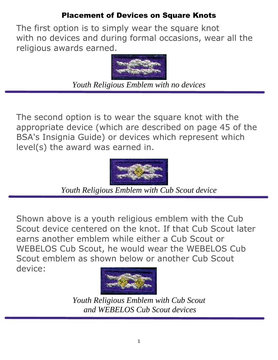## Placement of Devices on Square Knots

The first option is to simply wear the square knot with no devices and during formal occasions, wear all the religious awards earned.



*Youth Religious Emblem with no devices*

The second option is to wear the square knot with the appropriate device (which are described on page 45 of the BSA's Insignia Guide) or devices which represent which level(s) the award was earned in.



*Youth Religious Emblem with Cub Scout device*

Shown above is a youth religious emblem with the Cub Scout device centered on the knot. If that Cub Scout later earns another emblem while either a Cub Scout or WEBELOS Cub Scout, he would wear the WEBELOS Cub Scout emblem as shown below or another Cub Scout device:



*Youth Religious Emblem with Cub Scout and WEBELOS Cub Scout devices*